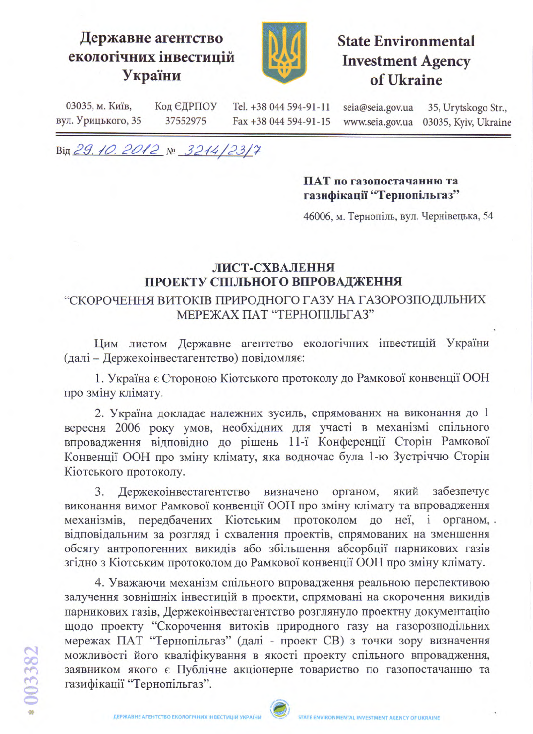## Державне агентство екологічних інвестицій України



**State Environmental Investment Agency** of Ukraine

03035, м. Київ, Код ЄДРПОУ Tel. +38 044 594-91-11 35, Urytskogo Str., seia@seia.gov.ua вул. Урицького, 35 37552975 Fax +38 044 594-91-15 www.seia.gov.ua 03035, Kyiv, Ukraine

Від 29.10.2012 № 3214/23/7

## ПАТ по газопостачанню та газифікації "Тернопільгаз"

46006, м. Тернопіль, вул. Чернівецька, 54

## ЛИСТ-СХВАЛЕННЯ ПРОЕКТУ СПІЛЬНОГО ВПРОВАДЖЕННЯ

## "СКОРОЧЕННЯ ВИТОКІВ ПРИРОДНОГО ГАЗУ НА ГАЗОРОЗПОДІЛЬНИХ МЕРЕЖАХ ПАТ "ТЕРНОПІЛЬГАЗ"

Цим листом Державне агентство екологічних інвестицій України (далі - Держекоінвестагентство) повідомляє:

1. Україна є Стороною Кіотського протоколу до Рамкової конвенції ООН про зміну клімату.

2. Україна докладає належних зусиль, спрямованих на виконання до 1 вересня 2006 року умов, необхідних для участі в механізмі спільного впровадження відповідно до рішень 11-ї Конференції Сторін Рамкової Конвенції ООН про зміну клімату, яка водночас була 1-ю Зустріччю Сторін Кіотського протоколу.

Держекоінвестагентство забезпечує  $3.$ визначено органом, який виконання вимог Рамкової конвенції ООН про зміну клімату та впровадження механізмів, передбачених Кіотським протоколом до неї, і органом, відповідальним за розгляд і схвалення проектів, спрямованих на зменшення обсягу антропогенних викидів або збільшення абсорбції парникових газів згідно з Кіотським протоколом до Рамкової конвенції ООН про зміну клімату.

4. Уважаючи механізм спільного впровадження реальною перспективою залучення зовнішніх інвестицій в проекти, спрямовані на скорочення викидів парникових газів, Держекоінвестагентство розглянуло проектну документацію щодо проекту "Скорочення витоків природного газу на газорозподільних мережах ПАТ "Тернопільгаз" (далі - проект СВ) з точки зору визначення можливості його кваліфікування в якості проекту спільного впровадження, заявником якого є Публічне акціонерне товариство по газопостачанню та газифікації "Тернопільгаз".